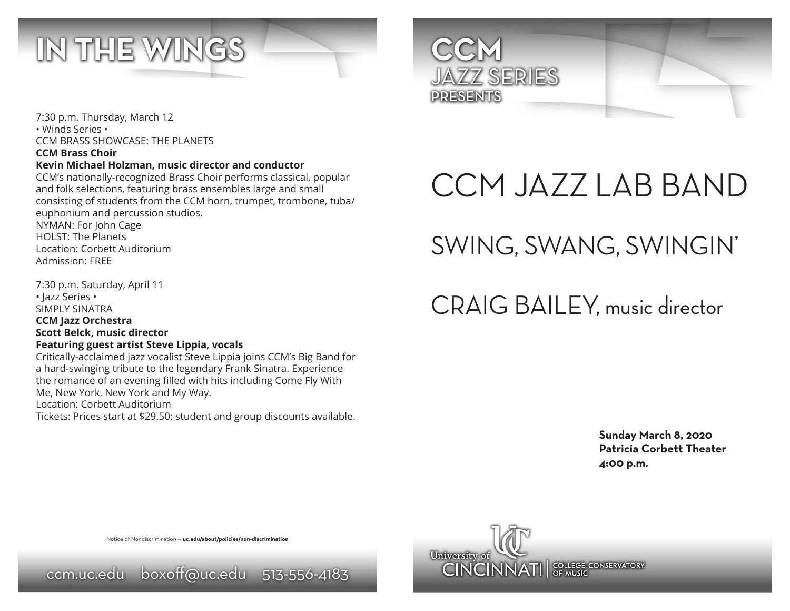



#### **CCM Brass Choir**

### **Kevin Michael Holzman, music director and conductor**

CCM's nationally-recognized Brass Choir performs classical, popular and folk selections, featuring brass ensembles large and small consisting of students from the CCM horn, trumpet, trombone, tuba/ euphonium and percussion studios. NYMAN: For John Cage HOLST: The Planets Location: Corbett Auditorium Admission: FREE

7:30 p.m. Saturday, April 11 • Jazz Series • SIMPLY SINATRA **CCM Jazz Orchestra Scott Belck, music director Featuring guest artist Steve Lippia, vocals** Critically-acclaimed jazz vocalist Steve Lippia joins CCM's Big Band for a hard-swinging tribute to the legendary Frank Sinatra. Experience the romance of an evening filled with hits including Come Fly With Me, New York, New York and My Way. Location: Corbett Auditorium Tickets: Prices start at \$29.50; student and group discounts available.



# CCM JAZZ LAB BAND

SWING, SWANG, SWINGIN'

# CRAIG BAILEY, music director

**Sunday March 8, 2020 Patricia Corbett Theater 4:00 p.m.**

Notice of Nondiscrimination — **uc.edu/about/policies/non-discrimination**